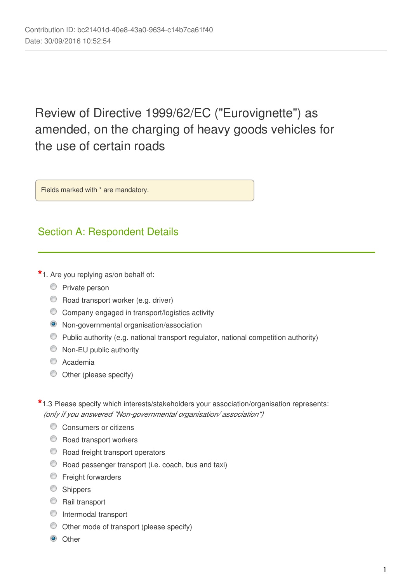# Review of Directive 1999/62/EC ("Eurovignette") as amended, on the charging of heavy goods vehicles for the use of certain roads

Fields marked with \* are mandatory.

# Section A: Respondent Details

**\***1. Are you replying as/on behalf of:

- **Private person**
- C Road transport worker (e.g. driver)
- Company engaged in transport/logistics activity
- Non-governmental organisation/association
- Public authority (e.g. national transport regulator, national competition authority)
- **Non-EU public authority**
- C Academia
- Other (please specify)
- **\***1.3 Please specify which interests/stakeholders your association/organisation represents: *(only if you answered "Non-governmental organisation/ association")*
	- **Consumers or citizens**
	- **C** Road transport workers
	- **C** Road freight transport operators
	- Road passenger transport (i.e. coach, bus and taxi)
	- **Exercipion** Freight forwarders
	- **Shippers**
	- **C** Rail transport
	- **Intermodal transport**
	- Other mode of transport (please specify)
	- <sup>O</sup> Other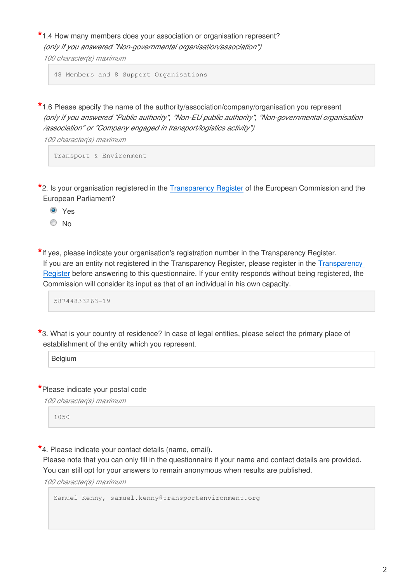**\***1.4 How many members does your association or organisation represent? *(only if you answered "Non-governmental organisation/association")*

*100 character(s) maximum*

48 Members and 8 Support Organisations

**\***1.6 Please specify the name of the authority/association/company/organisation you represent *(only if you answered "Public authority", "Non-EU public authority", "Non-governmental organisation /association" or "Company engaged in transport/logistics activity")*

*100 character(s) maximum*

Transport & Environment

**\***2. Is your organisation registered in the [Transparency Register](http://europa.eu/transparency-register) of the European Commission and the European Parliament?

<sup>O</sup> Yes

<sup>O</sup>No

**\***If yes, please indicate your organisation's registration number in the Transparency Register. If you are an entity not registered in the Transparency Register, please register in the [Transparency](http://ec.europa.eu/transparencyregister/public/homePage.do)  [Register](http://ec.europa.eu/transparencyregister/public/homePage.do) before answering to this questionnaire. If your entity responds without being registered, the Commission will consider its input as that of an individual in his own capacity.

58744833263-19

**\***3. What is your country of residence? In case of legal entities, please select the primary place of establishment of the entity which you represent.

Belgium

**\***Please indicate your postal code

*100 character(s) maximum*

1050

**\***4. Please indicate your contact details (name, email).

Please note that you can only fill in the questionnaire if your name and contact details are provided. You can still opt for your answers to remain anonymous when results are published.

*100 character(s) maximum*

Samuel Kenny, samuel.kenny@transportenvironment.org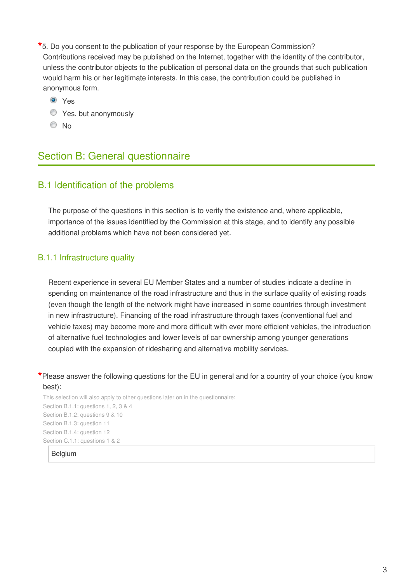**\***5. Do you consent to the publication of your response by the European Commission? Contributions received may be published on the Internet, together with the identity of the contributor, unless the contributor objects to the publication of personal data on the grounds that such publication would harm his or her legitimate interests. In this case, the contribution could be published in anonymous form.

Yes

- **Yes, but anonymously**
- <sup>O</sup>No

# Section B: General questionnaire

### B.1 Identification of the problems

The purpose of the questions in this section is to verify the existence and, where applicable, importance of the issues identified by the Commission at this stage, and to identify any possible additional problems which have not been considered yet.

### B.1.1 Infrastructure quality

Recent experience in several EU Member States and a number of studies indicate a decline in spending on maintenance of the road infrastructure and thus in the surface quality of existing roads (even though the length of the network might have increased in some countries through investment in new infrastructure). Financing of the road infrastructure through taxes (conventional fuel and vehicle taxes) may become more and more difficult with ever more efficient vehicles, the introduction of alternative fuel technologies and lower levels of car ownership among younger generations coupled with the expansion of ridesharing and alternative mobility services.

### **\***Please answer the following questions for the EU in general and for a country of your choice (you know best):

This selection will also apply to other questions later on in the questionnaire: Section B.1.1: questions 1, 2, 3 & 4 Section B.1.2: questions 9 & 10 Section B.1.3: question 11 Section B.1.4: question 12 Section C.1.1: questions 1 & 2

Belgium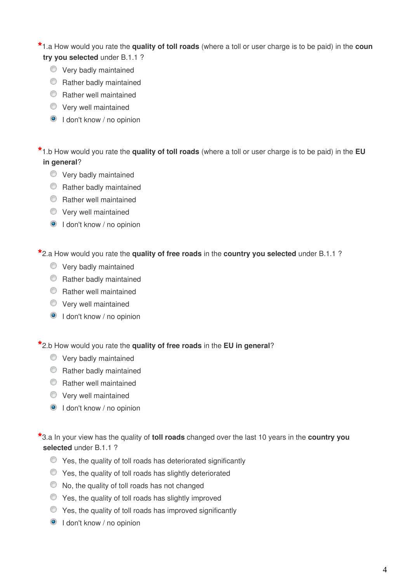### **\***1.a How would you rate the **quality of toll roads** (where a toll or user charge is to be paid) in the **coun try you selected** under B.1.1 ?

- **Very badly maintained**
- **C** Rather badly maintained
- **C** Rather well maintained
- Very well maintained
- $\odot$  I don't know / no opinion

# **\***1.b How would you rate the **quality of toll roads** (where a toll or user charge is to be paid) in the **EU in general**?

- **Very badly maintained**
- **C** Rather badly maintained
- **C** Rather well maintained
- Very well maintained
- $\odot$  I don't know / no opinion

**\***2.a How would you rate the **quality of free roads** in the **country you selected** under B.1.1 ?

- **Very badly maintained**
- **C** Rather badly maintained
- **C** Rather well maintained
- Very well maintained
- **O** I don't know / no opinion

**\***2.b How would you rate the **quality of free roads** in the **EU in general**?

- **Very badly maintained**
- **C** Rather badly maintained
- **C** Rather well maintained
- **Wery well maintained**
- **O** I don't know / no opinion

**\***3.a In your view has the quality of **toll roads** changed over the last 10 years in the **country you selected** under B.1.1 ?

- $\bullet$  Yes, the quality of toll roads has deteriorated significantly
- Yes, the quality of toll roads has slightly deteriorated
- $\bullet$  No, the quality of toll roads has not changed
- $\bullet$  Yes, the quality of toll roads has slightly improved
- Yes, the quality of toll roads has improved significantly
- **O** I don't know / no opinion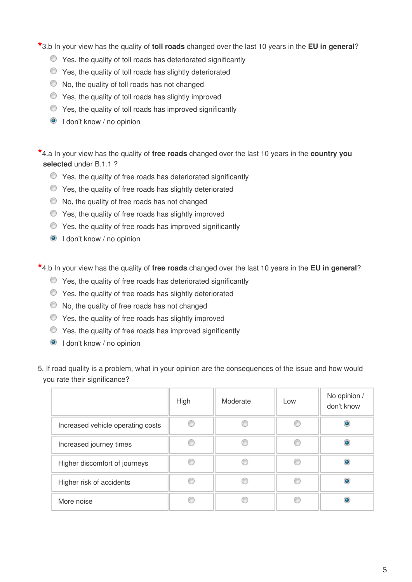**\***3.b In your view has the quality of **toll roads** changed over the last 10 years in the **EU in general**?

- Yes, the quality of toll roads has deteriorated significantly
- Yes, the quality of toll roads has slightly deteriorated
- $\bullet$  No, the quality of toll roads has not changed
- $\bullet$  Yes, the quality of toll roads has slightly improved
- Yes, the quality of toll roads has improved significantly
- **I** don't know / no opinion

**\***4.a In your view has the quality of **free roads** changed over the last 10 years in the **country you selected** under B.1.1 ?

- $\bullet$  Yes, the quality of free roads has deteriorated significantly
- Yes, the quality of free roads has slightly deteriorated
- $\bullet$  No, the quality of free roads has not changed
- Yes, the quality of free roads has slightly improved
- Yes, the quality of free roads has improved significantly
- I don't know / no opinion

**\***4.b In your view has the quality of **free roads** changed over the last 10 years in the **EU in general**?

- $\bullet$  Yes, the quality of free roads has deteriorated significantly
- Yes, the quality of free roads has slightly deteriorated
- $\bullet$  No, the quality of free roads has not changed
- Yes, the quality of free roads has slightly improved
- Yes, the quality of free roads has improved significantly
- **I** don't know / no opinion
- 5. If road quality is a problem, what in your opinion are the consequences of the issue and how would you rate their significance?

|                                   | High | Moderate | Low | No opinion /<br>don't know |
|-----------------------------------|------|----------|-----|----------------------------|
| Increased vehicle operating costs |      |          |     |                            |
| Increased journey times           |      |          |     |                            |
| Higher discomfort of journeys     |      |          |     |                            |
| Higher risk of accidents          |      |          |     |                            |
| More noise                        |      |          |     |                            |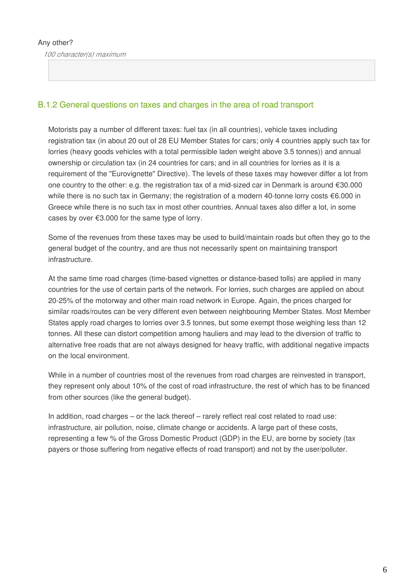### Any other?

*100 character(s) maximum*

### B.1.2 General questions on taxes and charges in the area of road transport

Motorists pay a number of different taxes: fuel tax (in all countries), vehicle taxes including registration tax (in about 20 out of 28 EU Member States for cars; only 4 countries apply such tax for lorries (heavy goods vehicles with a total permissible laden weight above 3.5 tonnes)) and annual ownership or circulation tax (in 24 countries for cars; and in all countries for lorries as it is a requirement of the "Eurovignette" Directive). The levels of these taxes may however differ a lot from one country to the other: e.g. the registration tax of a mid-sized car in Denmark is around €30.000 while there is no such tax in Germany; the registration of a modern 40-tonne lorry costs €6.000 in Greece while there is no such tax in most other countries. Annual taxes also differ a lot, in some cases by over €3.000 for the same type of lorry.

Some of the revenues from these taxes may be used to build/maintain roads but often they go to the general budget of the country, and are thus not necessarily spent on maintaining transport infrastructure.

At the same time road charges (time-based vignettes or distance-based tolls) are applied in many countries for the use of certain parts of the network. For lorries, such charges are applied on about 20-25% of the motorway and other main road network in Europe. Again, the prices charged for similar roads/routes can be very different even between neighbouring Member States. Most Member States apply road charges to lorries over 3.5 tonnes, but some exempt those weighing less than 12 tonnes. All these can distort competition among hauliers and may lead to the diversion of traffic to alternative free roads that are not always designed for heavy traffic, with additional negative impacts on the local environment.

While in a number of countries most of the revenues from road charges are reinvested in transport, they represent only about 10% of the cost of road infrastructure, the rest of which has to be financed from other sources (like the general budget).

In addition, road charges – or the lack thereof – rarely reflect real cost related to road use: infrastructure, air pollution, noise, climate change or accidents. A large part of these costs, representing a few % of the Gross Domestic Product (GDP) in the EU, are borne by society (tax payers or those suffering from negative effects of road transport) and not by the user/polluter.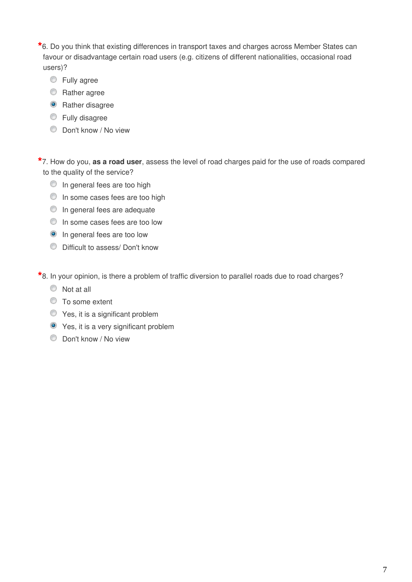**\***6. Do you think that existing differences in transport taxes and charges across Member States can favour or disadvantage certain road users (e.g. citizens of different nationalities, occasional road users)?

- **Eully agree**
- **C** Rather agree
- **O** Rather disagree
- **Eully disagree**
- **Don't know / No view**

**\***7. How do you, **as a road user**, assess the level of road charges paid for the use of roads compared to the quality of the service?

- $\circledcirc$  In general fees are too high
- **In some cases fees are too high**
- **In general fees are adequate**
- $\bullet$  In some cases fees are too low
- <sup>O</sup> In general fees are too low
- Difficult to assess/ Don't know

**\***8. In your opinion, is there a problem of traffic diversion to parallel roads due to road charges?

- $\circ$  Not at all
- To some extent
- Yes, it is a significant problem
- Yes, it is a very significant problem
- Don't know / No view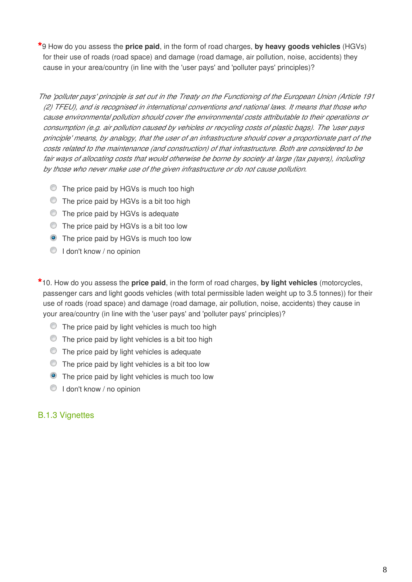**\***9 How do you assess the **price paid**, in the form of road charges, **by heavy goods vehicles** (HGVs) for their use of roads (road space) and damage (road damage, air pollution, noise, accidents) they cause in your area/country (in line with the 'user pays' and 'polluter pays' principles)?

*The 'polluter pays' principle is set out in the Treaty on the Functioning of the European Union (Article 191 (2) TFEU), and is recognised in international conventions and national laws. It means that those who cause environmental pollution should cover the environmental costs attributable to their operations or consumption (e.g. air pollution caused by vehicles or recycling costs of plastic bags). The 'user pays principle' means, by analogy, that the user of an infrastructure should cover a proportionate part of the costs related to the maintenance (and construction) of that infrastructure. Both are considered to be fair ways of allocating costs that would otherwise be borne by society at large (tax payers), including by those who never make use of the given infrastructure or do not cause pollution.*

- **The price paid by HGVs is much too high**
- $\bullet$  The price paid by HGVs is a bit too high
- **The price paid by HGVs is adequate**
- **The price paid by HGVs is a bit too low**
- **O** The price paid by HGVs is much too low
- **I don't know / no opinion**

**\***10. How do you assess the **price paid**, in the form of road charges, **by light vehicles** (motorcycles, passenger cars and light goods vehicles (with total permissible laden weight up to 3.5 tonnes)) for their use of roads (road space) and damage (road damage, air pollution, noise, accidents) they cause in your area/country (in line with the 'user pays' and 'polluter pays' principles)?

- $\circledcirc$  The price paid by light vehicles is much too high
- $\bullet$  The price paid by light vehicles is a bit too high
- $\bullet$  The price paid by light vehicles is adequate
- $\bullet$  The price paid by light vehicles is a bit too low
- **•** The price paid by light vehicles is much too low
- $\bigcirc$  I don't know / no opinion

# B.1.3 Vignettes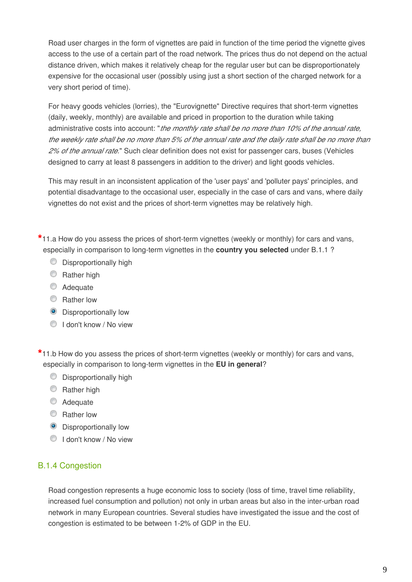Road user charges in the form of vignettes are paid in function of the time period the vignette gives access to the use of a certain part of the road network. The prices thus do not depend on the actual distance driven, which makes it relatively cheap for the regular user but can be disproportionately expensive for the occasional user (possibly using just a short section of the charged network for a very short period of time).

For heavy goods vehicles (lorries), the "Eurovignette" Directive requires that short-term vignettes (daily, weekly, monthly) are available and priced in proportion to the duration while taking administrative costs into account: "*the monthly rate shall be no more than 10% of the annual rate, the weekly rate shall be no more than 5% of the annual rate and the daily rate shall be no more than 2% of the annual rate.*" Such clear definition does not exist for passenger cars, buses (Vehicles designed to carry at least 8 passengers in addition to the driver) and light goods vehicles.

This may result in an inconsistent application of the 'user pays' and 'polluter pays' principles, and potential disadvantage to the occasional user, especially in the case of cars and vans, where daily vignettes do not exist and the prices of short-term vignettes may be relatively high.

**\***11.a How do you assess the prices of short-term vignettes (weekly or monthly) for cars and vans, especially in comparison to long-term vignettes in the **country you selected** under B.1.1 ?

- $\circledcirc$  Disproportionally high
- **C** Rather high
- Adequate
- **C** Rather low
- **O** Disproportionally low
- I don't know / No view

**\***11.b How do you assess the prices of short-term vignettes (weekly or monthly) for cars and vans, especially in comparison to long-term vignettes in the **EU in general**?

- $\circledcirc$  Disproportionally high
- **Rather high**
- C Adequate
- C Rather low
- **O** Disproportionally low
- **I don't know / No view**

# B.1.4 Congestion

Road congestion represents a huge economic loss to society (loss of time, travel time reliability, increased fuel consumption and pollution) not only in urban areas but also in the inter-urban road network in many European countries. Several studies have investigated the issue and the cost of congestion is estimated to be between 1-2% of GDP in the EU.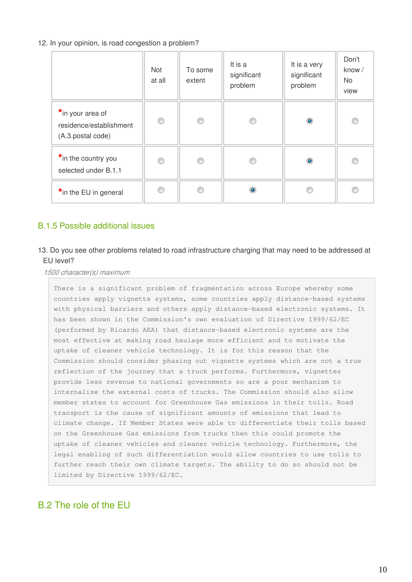### 12. In your opinion, is road congestion a problem?

|                                                                  | Not<br>at all | To some<br>extent | It is a<br>significant<br>problem | It is a very<br>significant<br>problem | Don't<br>know /<br>No.<br>view |
|------------------------------------------------------------------|---------------|-------------------|-----------------------------------|----------------------------------------|--------------------------------|
| *in your area of<br>residence/establishment<br>(A.3.postal code) | 0             | ⊙                 | ◎                                 | $\bullet$                              | C                              |
| *in the country you<br>selected under B.1.1                      | ⊙             | ◎                 |                                   | $\bullet$                              | €                              |
| *in the EU in general                                            | ⋒             |                   | ۰                                 |                                        |                                |

# B.1.5 Possible additional issues

### 13. Do you see other problems related to road infrastructure charging that may need to be addressed at EU level?

*1500 character(s) maximum*

There is a significant problem of fragmentation across Europe whereby some countries apply vignette systems, some countries apply distance-based systems with physical barriers and others apply distance-based electronic systems. It has been shown in the Commission's own evaluation of Directive 1999/62/EC (performed by Ricardo AEA) that distance-based electronic systems are the most effective at making road haulage more efficient and to motivate the uptake of cleaner vehicle technology. It is for this reason that the Commission should consider phasing out vignette systems which are not a true reflection of the journey that a truck performs. Furthermore, vignettes provide less revenue to national governments so are a poor mechanism to internalise the external costs of trucks. The Commission should also allow member states to account for Greenhouse Gas emissions in their tolls. Road transport is the cause of significant amounts of emissions that lead to climate change. If Member States were able to differentiate their tolls based on the Greenhouse Gas emissions from trucks then this could promote the uptake of cleaner vehicles and cleaner vehicle technology. Furthermore, the legal enabling of such differentiation would allow countries to use tolls to further reach their own climate targets. The ability to do so should not be limited by Directive 1999/62/EC.

# B.2 The role of the EU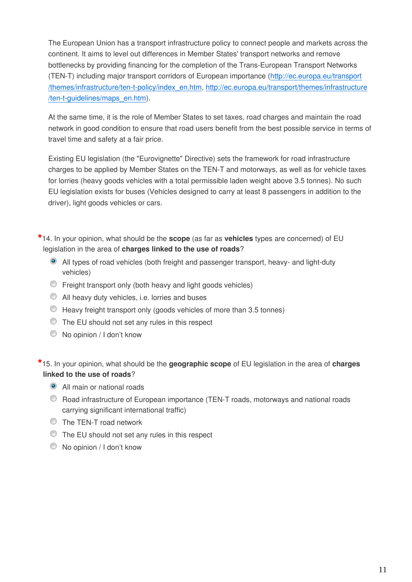The European Union has a transport infrastructure policy to connect people and markets across the continent. It aims to level out differences in Member States' transport networks and remove bottlenecks by providing financing for the completion of the Trans-European Transport Networks (TEN-T) including major transport corridors of European importance ([http://ec.europa.eu/transport](http://ec.europa.eu/transport/themes/infrastructure/ten-t-policy/index_en.htm) [/themes/infrastructure/ten-t-policy/index\\_en.htm,](http://ec.europa.eu/transport/themes/infrastructure/ten-t-policy/index_en.htm) [http://ec.europa.eu/transport/themes/infrastructure](http://ec.europa.eu/transport/themes/infrastructure/ten-t-guidelines/maps_en.htm) [/ten-t-guidelines/maps\\_en.htm](http://ec.europa.eu/transport/themes/infrastructure/ten-t-guidelines/maps_en.htm)).

At the same time, it is the role of Member States to set taxes, road charges and maintain the road network in good condition to ensure that road users benefit from the best possible service in terms of travel time and safety at a fair price.

Existing EU legislation (the "Eurovignette" Directive) sets the framework for road infrastructure charges to be applied by Member States on the TEN-T and motorways, as well as for vehicle taxes for lorries (heavy goods vehicles with a total permissible laden weight above 3.5 tonnes). No such EU legislation exists for buses (Vehicles designed to carry at least 8 passengers in addition to the driver), light goods vehicles or cars.

**\***14. In your opinion, what should be the **scope** (as far as **vehicles** types are concerned) of EU legislation in the area of **charges linked to the use of roads**?

- All types of road vehicles (both freight and passenger transport, heavy- and light-duty vehicles)
- Freight transport only (both heavy and light goods vehicles)
- All heavy duty vehicles, i.e. lorries and buses
- Heavy freight transport only (goods vehicles of more than 3.5 tonnes)
- The EU should not set any rules in this respect
- $\bullet$  No opinion / I don't know

**\***15. In your opinion, what should be the **geographic scope** of EU legislation in the area of **charges linked to the use of roads**?

- All main or national roads
- Road infrastructure of European importance (TEN-T roads, motorways and national roads carrying significant international traffic)
- **The TEN-T road network**
- **The EU should not set any rules in this respect**
- $\bullet$  No opinion / I don't know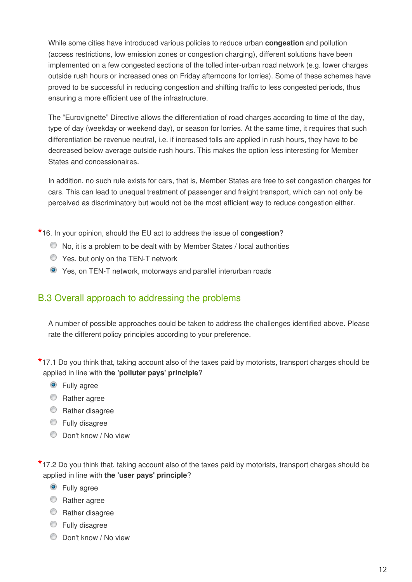While some cities have introduced various policies to reduce urban **congestion** and pollution (access restrictions, low emission zones or congestion charging), different solutions have been implemented on a few congested sections of the tolled inter-urban road network (e.g. lower charges outside rush hours or increased ones on Friday afternoons for lorries). Some of these schemes have proved to be successful in reducing congestion and shifting traffic to less congested periods, thus ensuring a more efficient use of the infrastructure.

The "Eurovignette" Directive allows the differentiation of road charges according to time of the day, type of day (weekday or weekend day), or season for lorries. At the same time, it requires that such differentiation be revenue neutral, i.e. if increased tolls are applied in rush hours, they have to be decreased below average outside rush hours. This makes the option less interesting for Member States and concessionaires.

In addition, no such rule exists for cars, that is, Member States are free to set congestion charges for cars. This can lead to unequal treatment of passenger and freight transport, which can not only be perceived as discriminatory but would not be the most efficient way to reduce congestion either.

**\***16. In your opinion, should the EU act to address the issue of **congestion**?

- No, it is a problem to be dealt with by Member States / local authorities
- **S** Yes, but only on the TEN-T network
- Yes, on TEN-T network, motorways and parallel interurban roads

# B.3 Overall approach to addressing the problems

A number of possible approaches could be taken to address the challenges identified above. Please rate the different policy principles according to your preference.

**\***17.1 Do you think that, taking account also of the taxes paid by motorists, transport charges should be applied in line with **the 'polluter pays' principle**?

- **O** Fully agree
- C Rather agree
- **C** Rather disagree
- **Eully disagree**
- Don't know / No view

**\***17.2 Do you think that, taking account also of the taxes paid by motorists, transport charges should be applied in line with **the 'user pays' principle**?

- **O** Fully agree
- **C** Rather agree
- **C** Rather disagree
- **Eully disagree**
- **C** Don't know / No view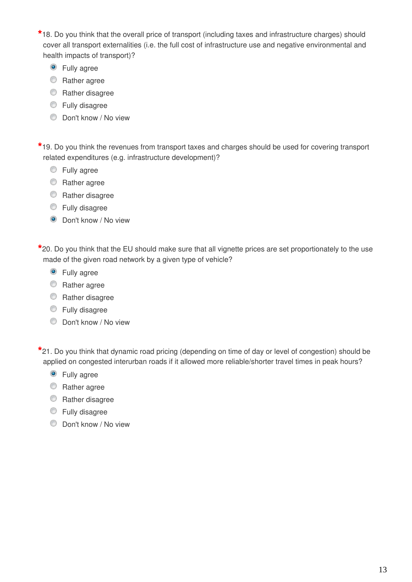**\***18. Do you think that the overall price of transport (including taxes and infrastructure charges) should cover all transport externalities (i.e. the full cost of infrastructure use and negative environmental and health impacts of transport)?

- **O** Fully agree
- **C** Rather agree
- **C** Rather disagree
- **Eully disagree**
- Don't know / No view

**\***19. Do you think the revenues from transport taxes and charges should be used for covering transport related expenditures (e.g. infrastructure development)?

- **Eully agree**
- **C** Rather agree
- **C** Rather disagree
- **Eully disagree**
- **O** Don't know / No view

**\***20. Do you think that the EU should make sure that all vignette prices are set proportionately to the use made of the given road network by a given type of vehicle?

- **O** Fully agree
- **C** Rather agree
- **C** Rather disagree
- **Eully disagree**
- **Don't know / No view**

**\***21. Do you think that dynamic road pricing (depending on time of day or level of congestion) should be applied on congested interurban roads if it allowed more reliable/shorter travel times in peak hours?

- **O** Fully agree
- **C** Rather agree
- C Rather disagree
- Fully disagree
- Don't know / No view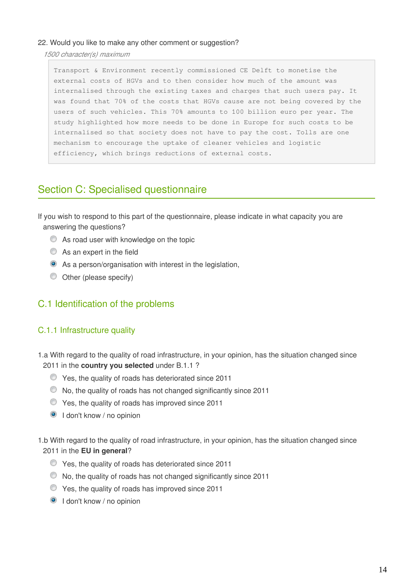### 22. Would you like to make any other comment or suggestion?

*1500 character(s) maximum*

Transport & Environment recently commissioned CE Delft to monetise the external costs of HGVs and to then consider how much of the amount was internalised through the existing taxes and charges that such users pay. It was found that 70% of the costs that HGVs cause are not being covered by the users of such vehicles. This 70% amounts to 100 billion euro per year. The study highlighted how more needs to be done in Europe for such costs to be internalised so that society does not have to pay the cost. Tolls are one mechanism to encourage the uptake of cleaner vehicles and logistic efficiency, which brings reductions of external costs.

# Section C: Specialised questionnaire

If you wish to respond to this part of the questionnaire, please indicate in what capacity you are answering the questions?

- As road user with knowledge on the topic
- As an expert in the field
- As a person/organisation with interest in the legislation,
- Other (please specify)

# C.1 Identification of the problems

# C.1.1 Infrastructure quality

- 1.a With regard to the quality of road infrastructure, in your opinion, has the situation changed since 2011 in the **country you selected** under B.1.1 ?
	- Yes, the quality of roads has deteriorated since 2011
	- No, the quality of roads has not changed significantly since 2011
	- Yes, the quality of roads has improved since 2011
	- **O** I don't know / no opinion
- 1.b With regard to the quality of road infrastructure, in your opinion, has the situation changed since 2011 in the **EU in general**?
	- Yes, the quality of roads has deteriorated since 2011
	- No, the quality of roads has not changed significantly since 2011
	- Yes, the quality of roads has improved since 2011
	- **O** I don't know / no opinion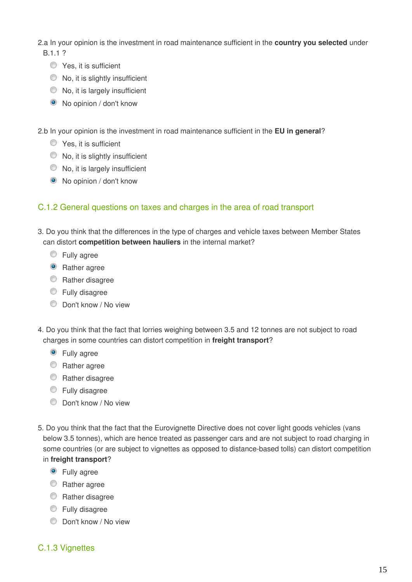2.a In your opinion is the investment in road maintenance sufficient in the **country you selected** under B.1.1 ?

- **O** Yes, it is sufficient
- $\bullet$  No, it is slightly insufficient
- $\bullet$  No, it is largely insufficient
- No opinion / don't know

2.b In your opinion is the investment in road maintenance sufficient in the **EU in general**?

- **C** Yes, it is sufficient
- $\bullet$  No, it is slightly insufficient
- $\bullet$  No, it is largely insufficient
- No opinion / don't know

### C.1.2 General questions on taxes and charges in the area of road transport

- 3. Do you think that the differences in the type of charges and vehicle taxes between Member States can distort **competition between hauliers** in the internal market?
	- **Eully** agree
	- Rather agree
	- **C** Rather disagree
	- **Eully disagree**
	- Don't know / No view
- 4. Do you think that the fact that lorries weighing between 3.5 and 12 tonnes are not subject to road charges in some countries can distort competition in **freight transport**?
	- **O** Fully agree
	- **C** Rather agree
	- **C** Rather disagree
	- **Eully disagree**
	- **Don't know / No view**
- 5. Do you think that the fact that the Eurovignette Directive does not cover light goods vehicles (vans below 3.5 tonnes), which are hence treated as passenger cars and are not subject to road charging in some countries (or are subject to vignettes as opposed to distance-based tolls) can distort competition in **freight transport**?
	- **O** Fully agree
	- **C** Rather agree
	- **C** Rather disagree
	- **Eully disagree**
	- **Don't know / No view**

# C.1.3 Vignettes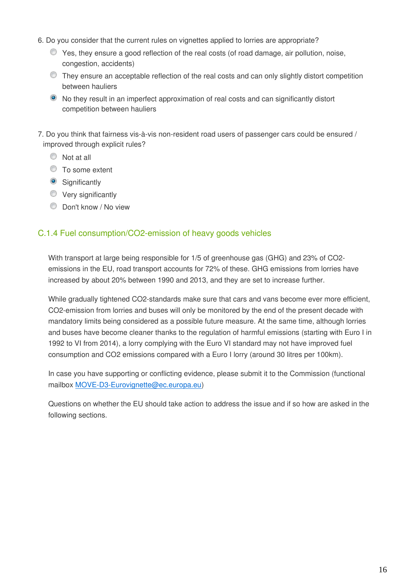- 6. Do you consider that the current rules on vignettes applied to lorries are appropriate?
	- Yes, they ensure a good reflection of the real costs (of road damage, air pollution, noise, congestion, accidents)
	- They ensure an acceptable reflection of the real costs and can only slightly distort competition between hauliers
	- No they result in an imperfect approximation of real costs and can significantly distort competition between hauliers
- 7. Do you think that fairness vis-à-vis non-resident road users of passenger cars could be ensured / improved through explicit rules?
	- $\circledcirc$  Not at all
	- $\circ$  To some extent
	- **Significantly**
	- **Very significantly**
	- **Don't know / No view**

# C.1.4 Fuel consumption/CO2-emission of heavy goods vehicles

With transport at large being responsible for 1/5 of greenhouse gas (GHG) and 23% of CO2 emissions in the EU, road transport accounts for 72% of these. GHG emissions from lorries have increased by about 20% between 1990 and 2013, and they are set to increase further.

While gradually tightened CO2-standards make sure that cars and vans become ever more efficient, CO2-emission from lorries and buses will only be monitored by the end of the present decade with mandatory limits being considered as a possible future measure. At the same time, although lorries and buses have become cleaner thanks to the regulation of harmful emissions (starting with Euro I in 1992 to VI from 2014), a lorry complying with the Euro VI standard may not have improved fuel consumption and CO2 emissions compared with a Euro I lorry (around 30 litres per 100km).

In case you have supporting or conflicting evidence, please submit it to the Commission (functional mailbox MOVE-D3-Eurovignette@ec.europa.eu)

Questions on whether the EU should take action to address the issue and if so how are asked in the following sections.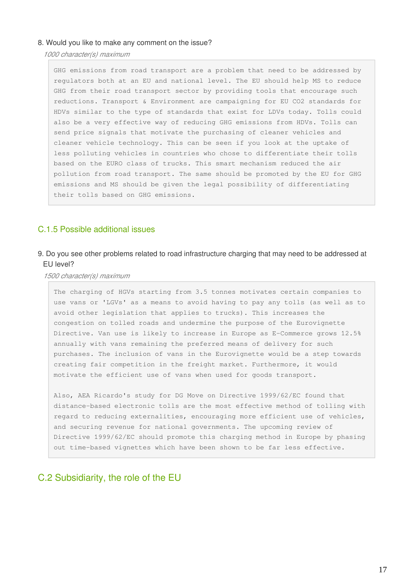#### 8. Would you like to make any comment on the issue?

*1000 character(s) maximum*

GHG emissions from road transport are a problem that need to be addressed by regulators both at an EU and national level. The EU should help MS to reduce GHG from their road transport sector by providing tools that encourage such reductions. Transport & Environment are campaigning for EU CO2 standards for HDVs similar to the type of standards that exist for LDVs today. Tolls could also be a very effective way of reducing GHG emissions from HDVs. Tolls can send price signals that motivate the purchasing of cleaner vehicles and cleaner vehicle technology. This can be seen if you look at the uptake of less polluting vehicles in countries who chose to differentiate their tolls based on the EURO class of trucks. This smart mechanism reduced the air pollution from road transport. The same should be promoted by the EU for GHG emissions and MS should be given the legal possibility of differentiating their tolls based on GHG emissions.

### C.1.5 Possible additional issues

### 9. Do you see other problems related to road infrastructure charging that may need to be addressed at EU level?

#### *1500 character(s) maximum*

The charging of HGVs starting from 3.5 tonnes motivates certain companies to use vans or 'LGVs' as a means to avoid having to pay any tolls (as well as to avoid other legislation that applies to trucks). This increases the congestion on tolled roads and undermine the purpose of the Eurovignette Directive. Van use is likely to increase in Europe as E-Commerce grows 12.5% annually with vans remaining the preferred means of delivery for such purchases. The inclusion of vans in the Eurovignette would be a step towards creating fair competition in the freight market. Furthermore, it would motivate the efficient use of vans when used for goods transport.

Also, AEA Ricardo's study for DG Move on Directive 1999/62/EC found that distance-based electronic tolls are the most effective method of tolling with regard to reducing externalities, encouraging more efficient use of vehicles, and securing revenue for national governments. The upcoming review of Directive 1999/62/EC should promote this charging method in Europe by phasing out time-based vignettes which have been shown to be far less effective.

### C.2 Subsidiarity, the role of the EU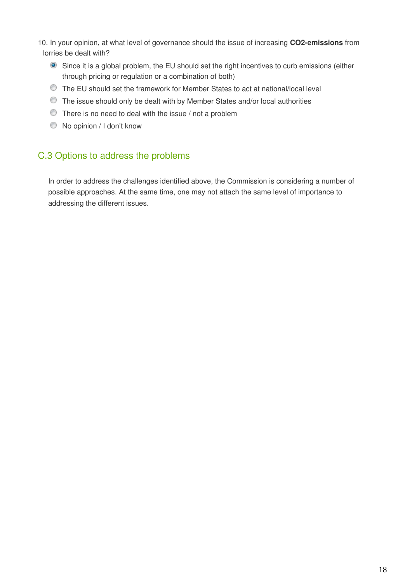- 10. In your opinion, at what level of governance should the issue of increasing **CO2-emissions** from lorries be dealt with?
	- Since it is a global problem, the EU should set the right incentives to curb emissions (either through pricing or regulation or a combination of both)
	- The EU should set the framework for Member States to act at national/local level
	- The issue should only be dealt with by Member States and/or local authorities
	- There is no need to deal with the issue / not a problem
	- $\bullet$  No opinion / I don't know

# C.3 Options to address the problems

In order to address the challenges identified above, the Commission is considering a number of possible approaches. At the same time, one may not attach the same level of importance to addressing the different issues.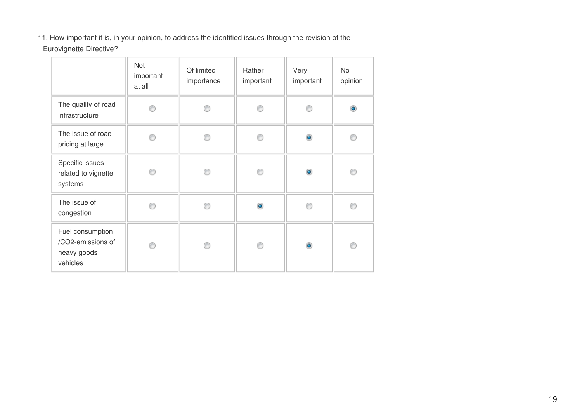11. How important it is, in your opinion, to address the identified issues through the revision of the Eurovignette Directive?

|                                                                  | <b>Not</b><br>important<br>at all | Of limited<br>importance | Rather<br>important | Very<br>important | No<br>opinion |
|------------------------------------------------------------------|-----------------------------------|--------------------------|---------------------|-------------------|---------------|
| The quality of road<br>infrastructure                            |                                   |                          | B                   |                   | $\bullet$     |
| The issue of road<br>pricing at large                            |                                   |                          | ⋒                   | $\bullet$         |               |
| Specific issues<br>related to vignette<br>systems                |                                   |                          |                     | $\bullet$         |               |
| The issue of<br>congestion                                       |                                   |                          | ۵                   |                   |               |
| Fuel consumption<br>/CO2-emissions of<br>heavy goods<br>vehicles |                                   | ∩                        | ⋒                   | $\bullet$         | C             |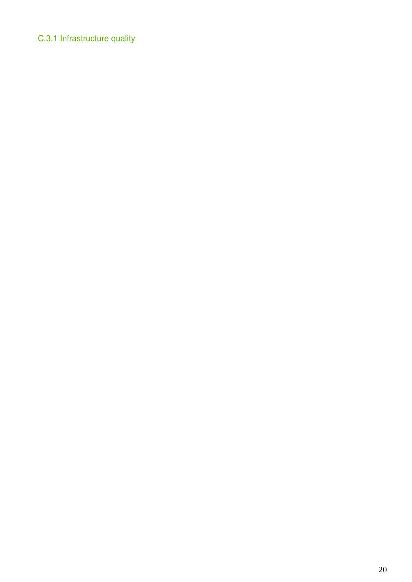# C.3.1 Infrastructure quality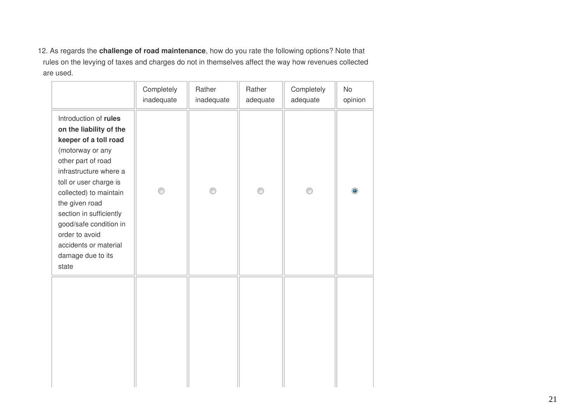12. As regards the **challenge of road maintenance**, how do you rate the following options? Note that rules on the levying of taxes and charges do not in themselves affect the way how revenues collected are used.

|                                                                                                                                                                                                                                                                                                                                                   | Completely<br>inadequate | Rather<br>inadequate | Rather<br>adequate | Completely<br>adequate | <b>No</b><br>opinion |
|---------------------------------------------------------------------------------------------------------------------------------------------------------------------------------------------------------------------------------------------------------------------------------------------------------------------------------------------------|--------------------------|----------------------|--------------------|------------------------|----------------------|
| Introduction of rules<br>on the liability of the<br>keeper of a toll road<br>(motorway or any<br>other part of road<br>infrastructure where a<br>toll or user charge is<br>collected) to maintain<br>the given road<br>section in sufficiently<br>good/safe condition in<br>order to avoid<br>accidents or material<br>damage due to its<br>state | ⊙                        |                      | ∩                  | C                      |                      |
|                                                                                                                                                                                                                                                                                                                                                   |                          |                      |                    |                        |                      |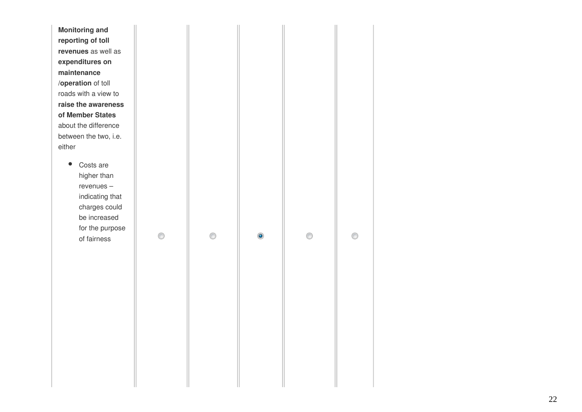| <b>Monitoring and</b>    |   |   |           |   |   |
|--------------------------|---|---|-----------|---|---|
| reporting of toll        |   |   |           |   |   |
| revenues as well as      |   |   |           |   |   |
| expenditures on          |   |   |           |   |   |
| maintenance              |   |   |           |   |   |
| /operation of toll       |   |   |           |   |   |
| roads with a view to     |   |   |           |   |   |
| raise the awareness      |   |   |           |   |   |
| of Member States         |   |   |           |   |   |
| about the difference     |   |   |           |   |   |
| between the two, i.e.    |   |   |           |   |   |
| either                   |   |   |           |   |   |
|                          |   |   |           |   |   |
| Costs are<br>higher than |   |   |           |   |   |
| revenues-                |   |   |           |   |   |
| indicating that          |   |   |           |   |   |
| charges could            |   |   |           |   |   |
| be increased             |   |   |           |   |   |
| for the purpose          |   |   |           |   |   |
| of fairness              | ⊙ | ⊙ | $\bullet$ | ⊙ | ∩ |
|                          |   |   |           |   |   |
|                          |   |   |           |   |   |
|                          |   |   |           |   |   |
|                          |   |   |           |   |   |
|                          |   |   |           |   |   |
|                          |   |   |           |   |   |
|                          |   |   |           |   |   |
|                          |   |   |           |   |   |
|                          |   |   |           |   |   |
|                          |   |   |           |   |   |
|                          |   |   |           |   |   |
|                          |   |   |           |   |   |
|                          |   |   |           |   |   |
|                          |   |   |           |   |   |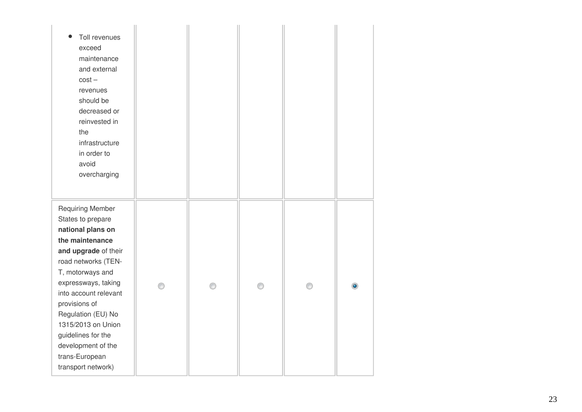| Toll revenues<br>exceed<br>maintenance<br>and external<br>$cost -$<br>revenues<br>should be<br>decreased or<br>reinvested in<br>the<br>infrastructure<br>in order to<br>avoid<br>overcharging                                                                                                                                                            |  |   |  |
|----------------------------------------------------------------------------------------------------------------------------------------------------------------------------------------------------------------------------------------------------------------------------------------------------------------------------------------------------------|--|---|--|
| <b>Requiring Member</b><br>States to prepare<br>national plans on<br>the maintenance<br>and upgrade of their<br>road networks (TEN-<br>T, motorways and<br>expressways, taking<br>into account relevant<br>provisions of<br>Regulation (EU) No<br>1315/2013 on Union<br>guidelines for the<br>development of the<br>trans-European<br>transport network) |  | ∩ |  |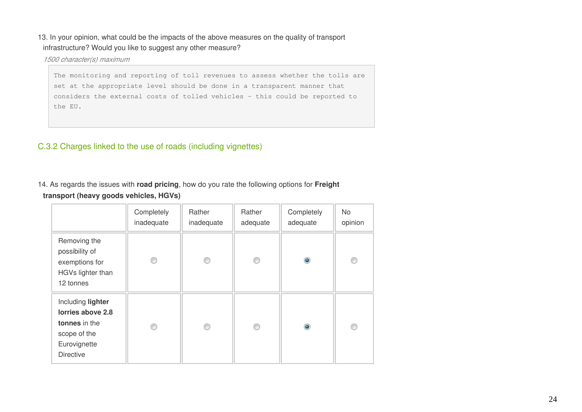### 13. In your opinion, what could be the impacts of the above measures on the quality of transport infrastructure? Would you like to suggest any other measure?

*1500 character(s) maximum*

The monitoring and reporting of toll revenues to assess whether the tolls are set at the appropriate level should be done in a transparent manner that considers the external costs of tolled vehicles - this could be reported to the EU.

# C.3.2 Charges linked to the use of roads (including vignettes)

### 14. As regards the issues with **road pricing**, how do you rate the following options for **Freight transport (heavy goods vehicles, HGVs)**

|                                                                                                             | Completely<br>inadequate | Rather<br>inadequate | Rather<br>adequate | Completely<br>adequate | No.<br>opinion |
|-------------------------------------------------------------------------------------------------------------|--------------------------|----------------------|--------------------|------------------------|----------------|
| Removing the<br>possibility of<br>exemptions for<br>HGVs lighter than<br>12 tonnes                          |                          | ⊙                    | ⊙                  | $\bullet$              | C              |
| Including lighter<br>lorries above 2.8<br>tonnes in the<br>scope of the<br>Eurovignette<br><b>Directive</b> |                          | ⋒                    | ⋒                  | $\bullet$              | o              |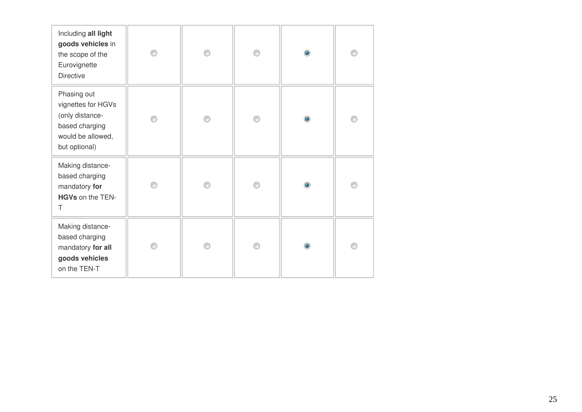| Including all light<br>goods vehicles in<br>the scope of the<br>Eurovignette<br><b>Directive</b>             | ⊙ | ∩ | $\bullet$ | ⋒ |
|--------------------------------------------------------------------------------------------------------------|---|---|-----------|---|
| Phasing out<br>vignettes for HGVs<br>(only distance-<br>based charging<br>would be allowed,<br>but optional) | ⊙ | ⊙ | $\bullet$ | 0 |
| Making distance-<br>based charging<br>mandatory for<br>HGVs on the TEN-<br>Τ                                 |   |   | $\bullet$ |   |
| Making distance-<br>based charging<br>mandatory for all<br>goods vehicles<br>on the TEN-T                    | ∩ | ∩ | $\bullet$ |   |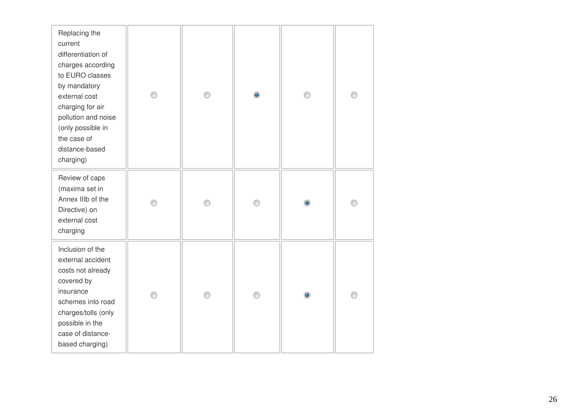| Replacing the<br>current<br>differentiation of<br>charges according<br>to EURO classes<br>by mandatory<br>external cost<br>charging for air<br>pollution and noise<br>(only possible in<br>the case of<br>distance-based<br>charging) | ∩ | ⊙ | $\bullet$ |           |  |
|---------------------------------------------------------------------------------------------------------------------------------------------------------------------------------------------------------------------------------------|---|---|-----------|-----------|--|
| Review of caps<br>(maxima set in<br>Annex IIIb of the<br>Directive) on<br>external cost<br>charging                                                                                                                                   |   |   |           | $\bullet$ |  |
| Inclusion of the<br>external accident<br>costs not already<br>covered by<br>insurance<br>schemes into road<br>charges/tolls (only<br>possible in the<br>case of distance-<br>based charging)                                          |   |   |           | ۰         |  |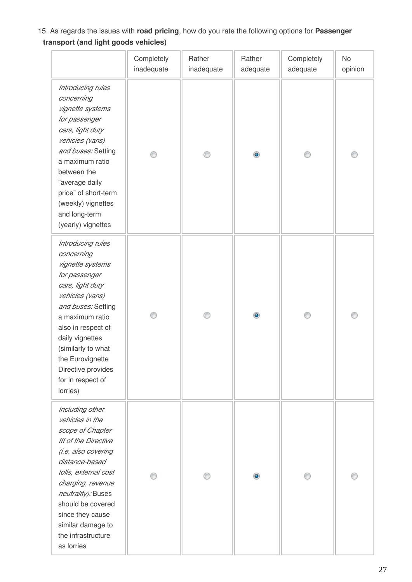# 15. As regards the issues with **road pricing**, how do you rate the following options for **Passenger transport (and light goods vehicles)**

|                                                                                                                                                                                                                                                                                                | Completely<br>inadequate | Rather<br>inadequate | Rather<br>adequate | Completely<br>adequate | No<br>opinion |
|------------------------------------------------------------------------------------------------------------------------------------------------------------------------------------------------------------------------------------------------------------------------------------------------|--------------------------|----------------------|--------------------|------------------------|---------------|
| Introducing rules<br>concerning<br>vignette systems<br>for passenger<br>cars, light duty<br>vehicles (vans)<br>and buses: Setting<br>a maximum ratio<br>between the<br>"average daily<br>price" of short-term<br>(weekly) vignettes<br>and long-term<br>(yearly) vignettes                     |                          | €                    | ۰                  |                        |               |
| Introducing rules<br>concerning<br>vignette systems<br>for passenger<br>cars, light duty<br>vehicles (vans)<br>and buses: Setting<br>a maximum ratio<br>also in respect of<br>daily vignettes<br>(similarly to what<br>the Eurovignette<br>Directive provides<br>for in respect of<br>lorries) |                          | ⋒                    | $\bullet$          |                        | C             |
| Including other<br>vehicles in the<br>scope of Chapter<br>III of the Directive<br>(i.e. also covering<br>distance-based<br>tolls, external cost<br>charging, revenue<br>neutrality): Buses<br>should be covered<br>since they cause<br>similar damage to<br>the infrastructure<br>as lorries   |                          |                      | $\bullet$          |                        |               |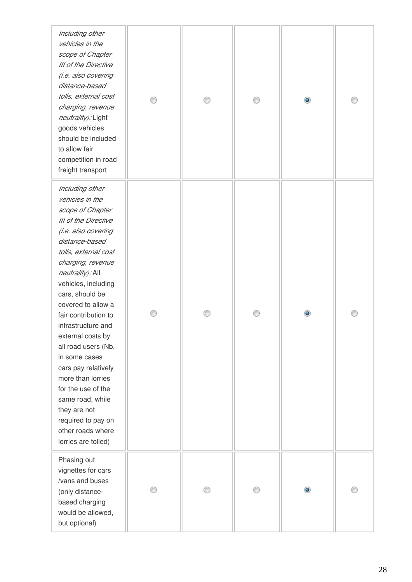*Including vehicles scope of Chapter III* of the *(i.e. also covering distance-based tolls, ext charging, revenue neutralit* goods v should b to allow competi freight tr *Including vehicles scope of Chapter III* of the *(i.e. also covering distance-based tolls, ex charging neutralit* vehicles cars, sh covered fair cont infrastru external all road in some cars pay more tha for the u same ro they are required other roa lorries a Phasing

vignette  $/\nu$ ans ar (only dis based c would be but optio

| ng other<br>s in the<br>of Chapter<br>e Directive<br>o covering<br>e-based<br>ternal cost<br>g, revenue<br>ty): Light<br>ehicles<br>be included<br>fair<br>ition in road<br>ransport                                                                                                                                                                       | ∩ | ⊙ | ⊙ | $\bullet$ | ⊙ |
|------------------------------------------------------------------------------------------------------------------------------------------------------------------------------------------------------------------------------------------------------------------------------------------------------------------------------------------------------------|---|---|---|-----------|---|
| ng other<br>s in the<br>of Chapter<br>e Directive<br>o covering<br>e-based<br>ternal cost<br>g, revenue<br><i>ty):</i> All<br>s, including<br>ould be<br>I to allow a<br>tribution to<br><b>ucture</b> and<br>l costs by<br>users (Nb.<br>cases<br>y relatively<br>an lorries<br>use of the<br>ad, while<br>e not<br>to pay on<br>ads where<br>ure tolled) | ⊙ | ⊙ | ⊙ | $\bullet$ | ⊙ |
| ) out<br>s for cars<br>nd buses<br>stance-<br>harging<br>e allowed,<br>onal)                                                                                                                                                                                                                                                                               |   | ⊙ |   | $\bullet$ |   |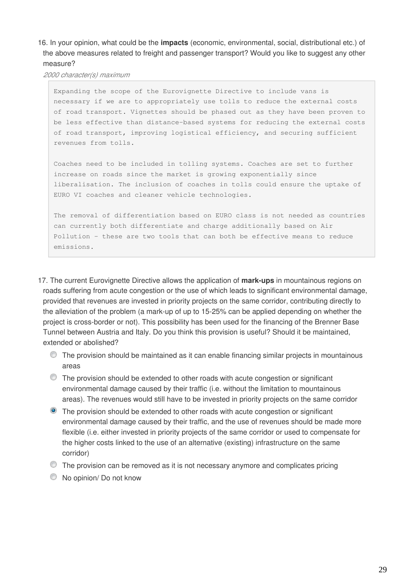### 16. In your opinion, what could be the **impacts** (economic, environmental, social, distributional etc.) of the above measures related to freight and passenger transport? Would you like to suggest any other measure?

*2000 character(s) maximum*

Expanding the scope of the Eurovignette Directive to include vans is necessary if we are to appropriately use tolls to reduce the external costs of road transport. Vignettes should be phased out as they have been proven to be less effective than distance-based systems for reducing the external costs of road transport, improving logistical efficiency, and securing sufficient revenues from tolls.

Coaches need to be included in tolling systems. Coaches are set to further increase on roads since the market is growing exponentially since liberalisation. The inclusion of coaches in tolls could ensure the uptake of EURO VI coaches and cleaner vehicle technologies.

The removal of differentiation based on EURO class is not needed as countries can currently both differentiate and charge additionally based on Air Pollution - these are two tools that can both be effective means to reduce emissions.

- 17. The current Eurovignette Directive allows the application of **mark-ups** in mountainous regions on roads suffering from acute congestion or the use of which leads to significant environmental damage, provided that revenues are invested in priority projects on the same corridor, contributing directly to the alleviation of the problem (a mark-up of up to 15-25% can be applied depending on whether the project is cross-border or not). This possibility has been used for the financing of the Brenner Base Tunnel between Austria and Italy. Do you think this provision is useful? Should it be maintained, extended or abolished?
	- The provision should be maintained as it can enable financing similar projects in mountainous areas
	- The provision should be extended to other roads with acute congestion or significant environmental damage caused by their traffic (i.e. without the limitation to mountainous areas). The revenues would still have to be invested in priority projects on the same corridor
	- The provision should be extended to other roads with acute congestion or significant environmental damage caused by their traffic, and the use of revenues should be made more flexible (i.e. either invested in priority projects of the same corridor or used to compensate for the higher costs linked to the use of an alternative (existing) infrastructure on the same corridor)
	- The provision can be removed as it is not necessary anymore and complicates pricing
	- $\bullet$  No opinion/ Do not know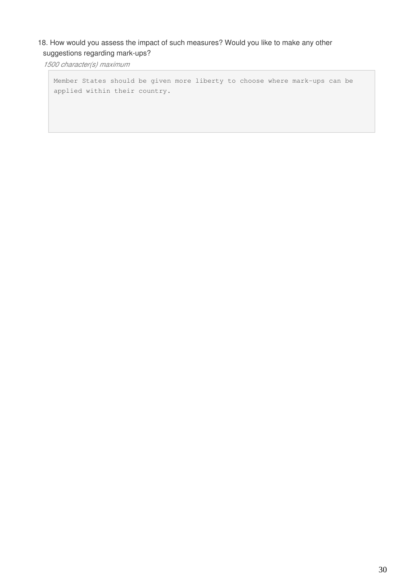# 18. How would you assess the impact of such measures? Would you like to make any other suggestions regarding mark-ups?

*1500 character(s) maximum*

Member States should be given more liberty to choose where mark-ups can be applied within their country.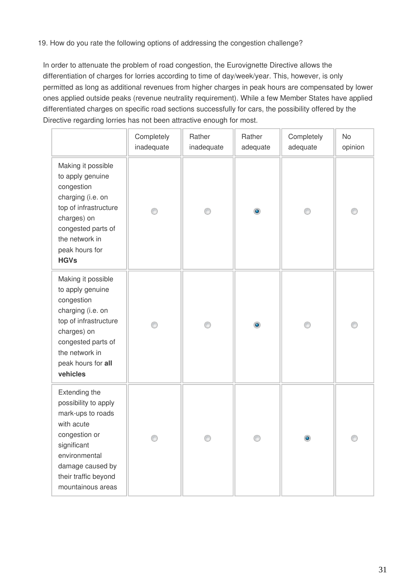### 19. How do you rate the following options of addressing the congestion challenge?

In order to attenuate the problem of road congestion, the Eurovignette Directive allows the differentiation of charges for lorries according to time of day/week/year. This, however, is only permitted as long as additional revenues from higher charges in peak hours are compensated by lower ones applied outside peaks (revenue neutrality requirement). While a few Member States have applied differentiated charges on specific road sections successfully for cars, the possibility offered by the Directive regarding lorries has not been attractive enough for most.

|                                                                                                                                                                                             | Completely<br>inadequate | Rather<br>inadequate | Rather<br>adequate | Completely<br>adequate | No<br>opinion |
|---------------------------------------------------------------------------------------------------------------------------------------------------------------------------------------------|--------------------------|----------------------|--------------------|------------------------|---------------|
| Making it possible<br>to apply genuine<br>congestion<br>charging (i.e. on<br>top of infrastructure<br>charges) on<br>congested parts of<br>the network in<br>peak hours for<br><b>HGVs</b>  |                          | O                    | ۱                  |                        |               |
| Making it possible<br>to apply genuine<br>congestion<br>charging (i.e. on<br>top of infrastructure<br>charges) on<br>congested parts of<br>the network in<br>peak hours for all<br>vehicles |                          |                      |                    |                        |               |
| Extending the<br>possibility to apply<br>mark-ups to roads<br>with acute<br>congestion or<br>significant<br>environmental<br>damage caused by<br>their traffic beyond<br>mountainous areas  |                          |                      |                    |                        |               |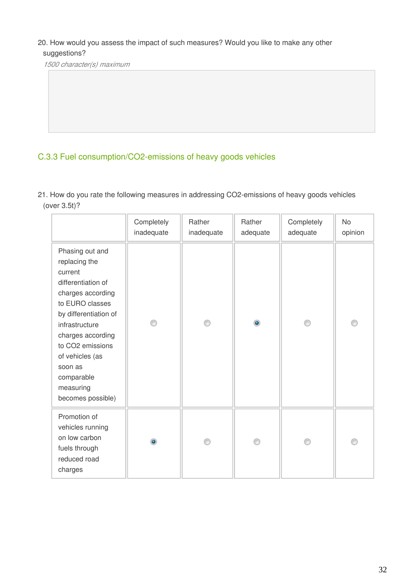### 20. How would you assess the impact of such measures? Would you like to make any other suggestions?

*1500 character(s) maximum*

# C.3.3 Fuel consumption/CO2-emissions of heavy goods vehicles

21. How do you rate the following measures in addressing CO2-emissions of heavy goods vehicles (over 3.5t)?

|                                                                                                                                                                                                                                                                             | Completely<br>inadequate | Rather<br>inadequate | Rather<br>adequate | Completely<br>adequate | <b>No</b><br>opinion |
|-----------------------------------------------------------------------------------------------------------------------------------------------------------------------------------------------------------------------------------------------------------------------------|--------------------------|----------------------|--------------------|------------------------|----------------------|
| Phasing out and<br>replacing the<br>current<br>differentiation of<br>charges according<br>to EURO classes<br>by differentiation of<br>infrastructure<br>charges according<br>to CO2 emissions<br>of vehicles (as<br>soon as<br>comparable<br>measuring<br>becomes possible) |                          |                      | $\bullet$          |                        |                      |
| Promotion of<br>vehicles running<br>on low carbon<br>fuels through<br>reduced road<br>charges                                                                                                                                                                               |                          |                      |                    |                        | C                    |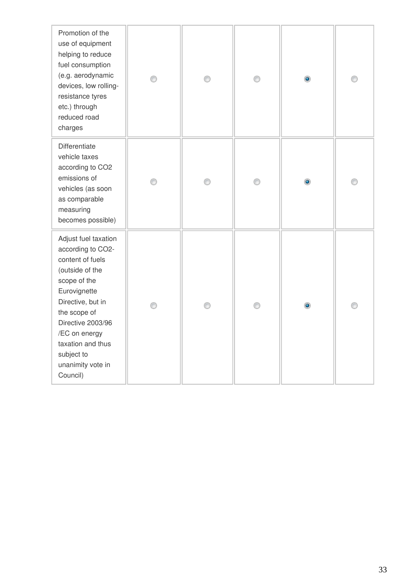| Promotion of the<br>use of equipment<br>helping to reduce<br>fuel consumption<br>(e.g. aerodynamic<br>devices, low rolling-<br>resistance tyres<br>etc.) through<br>reduced road<br>charges                                                                     | ∩ | ∩ | ⊙ | ۰         |   |
|-----------------------------------------------------------------------------------------------------------------------------------------------------------------------------------------------------------------------------------------------------------------|---|---|---|-----------|---|
| Differentiate<br>vehicle taxes<br>according to CO2<br>emissions of<br>vehicles (as soon<br>as comparable<br>measuring<br>becomes possible)                                                                                                                      | ⊙ | ⊙ | ⊙ | ۰         | O |
| Adjust fuel taxation<br>according to CO2-<br>content of fuels<br>(outside of the<br>scope of the<br>Eurovignette<br>Directive, but in<br>the scope of<br>Directive 2003/96<br>/EC on energy<br>taxation and thus<br>subject to<br>unanimity vote in<br>Council) | ∩ | ⊙ | ⊙ | $\bullet$ |   |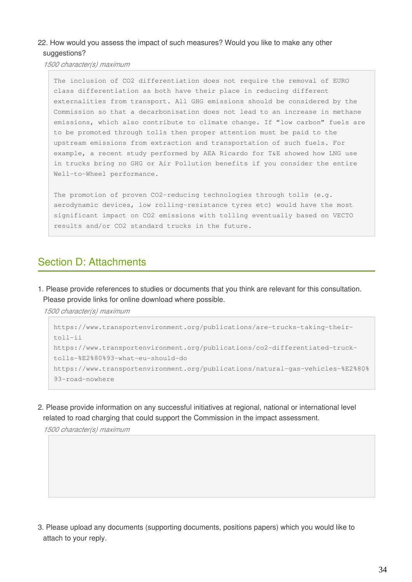### 22. How would you assess the impact of such measures? Would you like to make any other suggestions?

*1500 character(s) maximum*

The inclusion of CO2 differentiation does not require the removal of EURO class differentiation as both have their place in reducing different externalities from transport. All GHG emissions should be considered by the Commission so that a decarbonisation does not lead to an increase in methane emissions, which also contribute to climate change. If "low carbon" fuels are to be promoted through tolls then proper attention must be paid to the upstream emissions from extraction and transportation of such fuels. For example, a recent study performed by AEA Ricardo for T&E showed how LNG use in trucks bring no GHG or Air Pollution benefits if you consider the entire Well-to-Wheel performance.

The promotion of proven CO2-reducing technologies through tolls (e.g. aerodynamic devices, low rolling-resistance tyres etc) would have the most significant impact on CO2 emissions with tolling eventually based on VECTO results and/or CO2 standard trucks in the future.

# Section D: Attachments

1. Please provide references to studies or documents that you think are relevant for this consultation. Please provide links for online download where possible.

*1500 character(s) maximum*

```
https://www.transportenvironment.org/publications/are-trucks-taking-their-
toll-ii 
https://www.transportenvironment.org/publications/co2-differentiated-truck-
tolls-%E2%80%93-what-eu-should-do
https://www.transportenvironment.org/publications/natural-gas-vehicles-%E2%80%
93-road-nowhere
```
2. Please provide information on any successful initiatives at regional, national or international level related to road charging that could support the Commission in the impact assessment.

*1500 character(s) maximum*

3. Please upload any documents (supporting documents, positions papers) which you would like to attach to your reply.